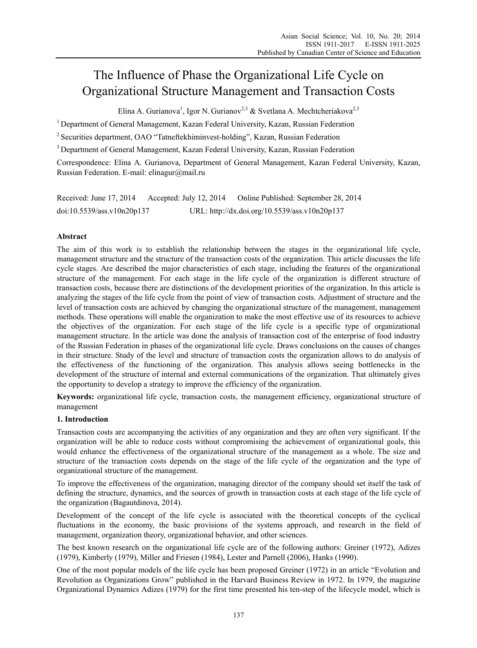# The Influence of Phase the Organizational Life Cycle on Organizational Structure Management and Transaction Costs

Elina A. Gurianova<sup>1</sup>, Igor N. Gurianov<sup>2,3</sup> & Svetlana A. Mechtcheriakova<sup>2,3</sup>

<sup>1</sup> Department of General Management, Kazan Federal University, Kazan, Russian Federation

2 Securities department, OAO "Tatneftekhiminvest-holding", Kazan, Russian Federation

<sup>3</sup> Department of General Management, Kazan Federal University, Kazan, Russian Federation

Correspondence: Elina A. Gurianova, Department of General Management, Kazan Federal University, Kazan, Russian Federation. E-mail: elinagur@mail.ru

| Received: June 17, 2014    | Accepted: July 12, 2014 | Online Published: September 28, 2014          |
|----------------------------|-------------------------|-----------------------------------------------|
| doi:10.5539/ass.v10n20p137 |                         | URL: http://dx.doi.org/10.5539/ass.v10n20p137 |

# **Abstract**

The aim of this work is to establish the relationship between the stages in the organizational life cycle, management structure and the structure of the transaction costs of the organization. This article discusses the life cycle stages. Are described the major characteristics of each stage, including the features of the organizational structure of the management. For each stage in the life cycle of the organization is different structure of transaction costs, because there are distinctions of the development priorities of the organization. In this article is analyzing the stages of the life cycle from the point of view of transaction costs. Adjustment of structure and the level of transaction costs are achieved by changing the organizational structure of the management, management methods. These operations will enable the organization to make the most effective use of its resources to achieve the objectives of the organization. For each stage of the life cycle is a specific type of organizational management structure. In the article was done the analysis of transaction cost of the enterprise of food industry of the Russian Federation in phases of the organizational life cycle. Draws conclusions on the causes of changes in their structure. Study of the level and structure of transaction costs the organization allows to do analysis of the effectiveness of the functioning of the organization. This analysis allows seeing bottlenecks in the development of the structure of internal and external communications of the organization. That ultimately gives the opportunity to develop a strategy to improve the efficiency of the organization.

**Keywords:** organizational life cycle, transaction costs, the management efficiency, organizational structure of management

# **1. Introduction**

Transaction costs are accompanying the activities of any organization and they are often very significant. If the organization will be able to reduce costs without compromising the achievement of organizational goals, this would enhance the effectiveness of the organizational structure of the management as a whole. The size and structure of the transaction costs depends on the stage of the life cycle of the organization and the type of organizational structure of the management.

To improve the effectiveness of the organization, managing director of the company should set itself the task of defining the structure, dynamics, and the sources of growth in transaction costs at each stage of the life cycle of the organization (Bagautdinova, 2014).

Development of the concept of the life cycle is associated with the theoretical concepts of the cyclical fluctuations in the economy, the basic provisions of the systems approach, and research in the field of management, organization theory, organizational behavior, and other sciences.

The best known research on the organizational life cycle are of the following authors: Greiner (1972), Adizes (1979), Kimberly (1979), Miller and Friesen (1984), Lester and Parnell (2006), Hanks (1990).

One of the most popular models of the life cycle has been proposed Greiner (1972) in an article "Evolution and Revolution as Organizations Grow" published in the Harvard Business Review in 1972. In 1979, the magazine Organizational Dynamics Adizes (1979) for the first time presented his ten-step of the lifecycle model, which is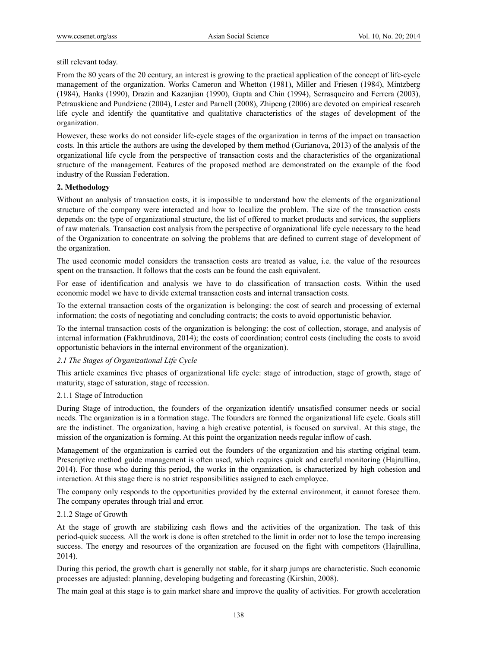# still relevant today.

From the 80 years of the 20 century, an interest is growing to the practical application of the concept of life-cycle management of the organization. Works Cameron and Whetton (1981), Miller and Friesen (1984), Mintzberg (1984), Hanks (1990), Drazin and Kazanjian (1990), Gupta and Chin (1994), Serrasqueiro and Ferrera (2003), Petrauskiene and Pundziene (2004), Lester and Parnell (2008), Zhipeng (2006) are devoted on empirical research life cycle and identify the quantitative and qualitative characteristics of the stages of development of the organization.

However, these works do not consider life-cycle stages of the organization in terms of the impact on transaction costs. In this article the authors are using the developed by them method (Gurianova, 2013) of the analysis of the organizational life cycle from the perspective of transaction costs and the characteristics of the organizational structure of the management. Features of the proposed method are demonstrated on the example of the food industry of the Russian Federation.

# **2. Methodology**

Without an analysis of transaction costs, it is impossible to understand how the elements of the organizational structure of the company were interacted and how to localize the problem. The size of the transaction costs depends on: the type of organizational structure, the list of offered to market products and services, the suppliers of raw materials. Transaction cost analysis from the perspective of organizational life cycle necessary to the head of the Organization to concentrate on solving the problems that are defined to current stage of development of the organization.

The used economic model considers the transaction costs are treated as value, i.e. the value of the resources spent on the transaction. It follows that the costs can be found the cash equivalent.

For ease of identification and analysis we have to do classification of transaction costs. Within the used economic model we have to divide external transaction costs and internal transaction costs.

To the external transaction costs of the organization is belonging: the cost of search and processing of external information; the costs of negotiating and concluding contracts; the costs to avoid opportunistic behavior.

To the internal transaction costs of the organization is belonging: the cost of collection, storage, and analysis of internal information (Fakhrutdinova, 2014); the costs of coordination; control costs (including the costs to avoid opportunistic behaviors in the internal environment of the organization).

# *2.1 The Stages of Organizational Life Cycle*

This article examines five phases of organizational life cycle: stage of introduction, stage of growth, stage of maturity, stage of saturation, stage of recession.

# 2.1.1 Stage of Introduction

During Stage of introduction, the founders of the organization identify unsatisfied consumer needs or social needs. The organization is in a formation stage. The founders are formed the organizational life cycle. Goals still are the indistinct. The organization, having a high creative potential, is focused on survival. At this stage, the mission of the organization is forming. At this point the organization needs regular inflow of cash.

Management of the organization is carried out the founders of the organization and his starting original team. Prescriptive method guide management is often used, which requires quick and careful monitoring (Hajrullina, 2014). For those who during this period, the works in the organization, is characterized by high cohesion and interaction. At this stage there is no strict responsibilities assigned to each employee.

The company only responds to the opportunities provided by the external environment, it cannot foresee them. The company operates through trial and error.

# 2.1.2 Stage of Growth

At the stage of growth are stabilizing cash flows and the activities of the organization. The task of this period-quick success. All the work is done is often stretched to the limit in order not to lose the tempo increasing success. The energy and resources of the organization are focused on the fight with competitors (Hajrullina, 2014).

During this period, the growth chart is generally not stable, for it sharp jumps are characteristic. Such economic processes are adjusted: planning, developing budgeting and forecasting (Kirshin, 2008).

The main goal at this stage is to gain market share and improve the quality of activities. For growth acceleration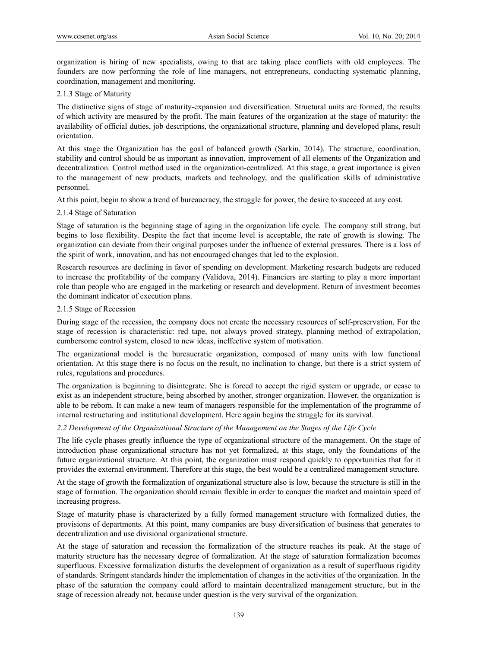organization is hiring of new specialists, owing to that are taking place conflicts with old employees. The founders are now performing the role of line managers, not entrepreneurs, conducting systematic planning, coordination, management and monitoring.

# 2.1.3 Stage of Maturity

The distinctive signs of stage of maturity-expansion and diversification. Structural units are formed, the results of which activity are measured by the profit. The main features of the organization at the stage of maturity: the availability of official duties, job descriptions, the organizational structure, planning and developed plans, result orientation.

At this stage the Organization has the goal of balanced growth (Sarkin, 2014). The structure, coordination, stability and control should be as important as innovation, improvement of all elements of the Organization and decentralization. Control method used in the organization-centralized. At this stage, a great importance is given to the management of new products, markets and technology, and the qualification skills of administrative personnel.

At this point, begin to show a trend of bureaucracy, the struggle for power, the desire to succeed at any cost.

#### 2.1.4 Stage of Saturation

Stage of saturation is the beginning stage of aging in the organization life cycle. The company still strong, but begins to lose flexibility. Despite the fact that income level is acceptable, the rate of growth is slowing. The organization can deviate from their original purposes under the influence of external pressures. There is a loss of the spirit of work, innovation, and has not encouraged changes that led to the explosion.

Research resources are declining in favor of spending on development. Marketing research budgets are reduced to increase the profitability of the company (Validova, 2014). Financiers are starting to play a more important role than people who are engaged in the marketing or research and development. Return of investment becomes the dominant indicator of execution plans.

#### 2.1.5 Stage of Recession

During stage of the recession, the company does not create the necessary resources of self-preservation. For the stage of recession is characteristic: red tape, not always proved strategy, planning method of extrapolation, cumbersome control system, closed to new ideas, ineffective system of motivation.

The organizational model is the bureaucratic organization, composed of many units with low functional orientation. At this stage there is no focus on the result, no inclination to change, but there is a strict system of rules, regulations and procedures.

The organization is beginning to disintegrate. She is forced to accept the rigid system or upgrade, or cease to exist as an independent structure, being absorbed by another, stronger organization. However, the organization is able to be reborn. It can make a new team of managers responsible for the implementation of the programme of internal restructuring and institutional development. Here again begins the struggle for its survival.

# *2.2 Development of the Organizational Structure of the Management on the Stages of the Life Cycle*

The life cycle phases greatly influence the type of organizational structure of the management. On the stage of introduction phase organizational structure has not yet formalized, at this stage, only the foundations of the future organizational structure. At this point, the organization must respond quickly to opportunities that for it provides the external environment. Therefore at this stage, the best would be a centralized management structure.

At the stage of growth the formalization of organizational structure also is low, because the structure is still in the stage of formation. The organization should remain flexible in order to conquer the market and maintain speed of increasing progress.

Stage of maturity phase is characterized by a fully formed management structure with formalized duties, the provisions of departments. At this point, many companies are busy diversification of business that generates to decentralization and use divisional organizational structure.

At the stage of saturation and recession the formalization of the structure reaches its peak. At the stage of maturity structure has the necessary degree of formalization. At the stage of saturation formalization becomes superfluous. Excessive formalization disturbs the development of organization as a result of superfluous rigidity of standards. Stringent standards hinder the implementation of changes in the activities of the organization. In the phase of the saturation the company could afford to maintain decentralized management structure, but in the stage of recession already not, because under question is the very survival of the organization.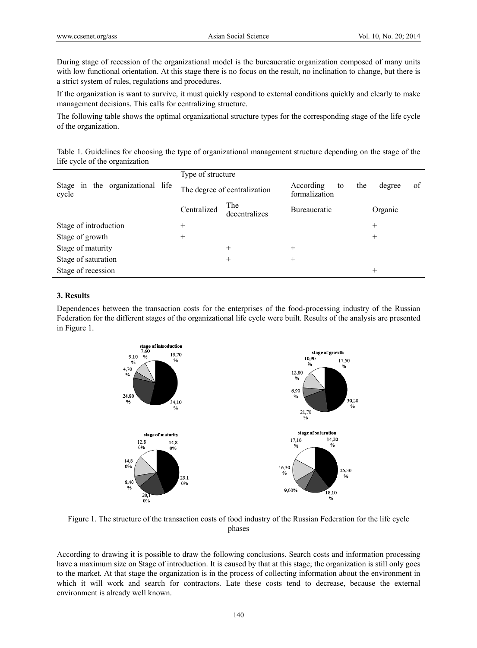During stage of recession of the organizational model is the bureaucratic organization composed of many units with low functional orientation. At this stage there is no focus on the result, no inclination to change, but there is a strict system of rules, regulations and procedures.

If the organization is want to survive, it must quickly respond to external conditions quickly and clearly to make management decisions. This calls for centralizing structure.

The following table shows the optimal organizational structure types for the corresponding stage of the life cycle of the organization.

Table 1. Guidelines for choosing the type of organizational management structure depending on the stage of the life cycle of the organization

|                                              | Type of structure            |                      |                                  |                     |  |
|----------------------------------------------|------------------------------|----------------------|----------------------------------|---------------------|--|
| in the organizational life<br>Stage<br>cycle | The degree of centralization |                      | According<br>to<br>formalization | of<br>the<br>degree |  |
|                                              | Centralized                  | The<br>decentralizes | <b>Bureaucratic</b>              | Organic             |  |
| Stage of introduction                        | $^{+}$                       |                      |                                  | $^{+}$              |  |
| Stage of growth                              | $^+$                         |                      |                                  | $^{+}$              |  |
| Stage of maturity                            |                              | $^{+}$               | $^+$                             |                     |  |
| Stage of saturation                          |                              | $^+$                 | $^+$                             |                     |  |
| Stage of recession                           |                              |                      |                                  | $^{+}$              |  |

## **3. Results**

Dependences between the transaction costs for the enterprises of the food-processing industry of the Russian Federation for the different stages of the organizational life cycle were built. Results of the analysis are presented in Figure 1.



Figure 1. The structure of the transaction costs of food industry of the Russian Federation for the life cycle phases

According to drawing it is possible to draw the following conclusions. Search costs and information processing have a maximum size on Stage of introduction. It is caused by that at this stage; the organization is still only goes to the market. At that stage the organization is in the process of collecting information about the environment in which it will work and search for contractors. Late these costs tend to decrease, because the external environment is already well known.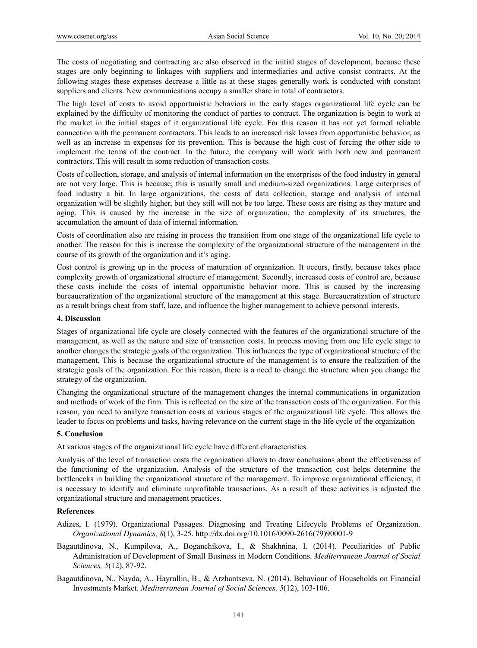The costs of negotiating and contracting are also observed in the initial stages of development, because these stages are only beginning to linkages with suppliers and intermediaries and active consist contracts. At the following stages these expenses decrease a little as at these stages generally work is conducted with constant suppliers and clients. New communications occupy a smaller share in total of contractors.

The high level of costs to avoid opportunistic behaviors in the early stages organizational life cycle can be explained by the difficulty of monitoring the conduct of parties to contract. The organization is begin to work at the market in the initial stages of it organizational life cycle. For this reason it has not yet formed reliable connection with the permanent contractors. This leads to an increased risk losses from opportunistic behavior, as well as an increase in expenses for its prevention. This is because the high cost of forcing the other side to implement the terms of the contract. In the future, the company will work with both new and permanent contractors. This will result in some reduction of transaction costs.

Costs of collection, storage, and analysis of internal information on the enterprises of the food industry in general are not very large. This is because; this is usually small and medium-sized organizations. Large enterprises of food industry a bit. In large organizations, the costs of data collection, storage and analysis of internal organization will be slightly higher, but they still will not be too large. These costs are rising as they mature and aging. This is caused by the increase in the size of organization, the complexity of its structures, the accumulation the amount of data of internal information.

Costs of coordination also are raising in process the transition from one stage of the organizational life cycle to another. The reason for this is increase the complexity of the organizational structure of the management in the course of its growth of the organization and it's aging.

Cost control is growing up in the process of maturation of organization. It occurs, firstly, because takes place complexity growth of organizational structure of management. Secondly, increased costs of control are, because these costs include the costs of internal opportunistic behavior more. This is caused by the increasing bureaucratization of the organizational structure of the management at this stage. Bureaucratization of structure as a result brings cheat from staff, laze, and influence the higher management to achieve personal interests.

# **4. Discussion**

Stages of organizational life cycle are closely connected with the features of the organizational structure of the management, as well as the nature and size of transaction costs. In process moving from one life cycle stage to another changes the strategic goals of the organization. This influences the type of organizational structure of the management. This is because the organizational structure of the management is to ensure the realization of the strategic goals of the organization. For this reason, there is a need to change the structure when you change the strategy of the organization.

Changing the organizational structure of the management changes the internal communications in organization and methods of work of the firm. This is reflected on the size of the transaction costs of the organization. For this reason, you need to analyze transaction costs at various stages of the organizational life cycle. This allows the leader to focus on problems and tasks, having relevance on the current stage in the life cycle of the organization

# **5. Conclusion**

At various stages of the organizational life cycle have different characteristics.

Analysis of the level of transaction costs the organization allows to draw conclusions about the effectiveness of the functioning of the organization. Analysis of the structure of the transaction cost helps determine the bottlenecks in building the organizational structure of the management. To improve organizational efficiency, it is necessary to identify and eliminate unprofitable transactions. As a result of these activities is adjusted the organizational structure and management practices.

#### **References**

- Adizes, I. (1979). Organizational Passages. Diagnosing and Treating Lifecycle Problems of Organization. *Organizational Dynamics, 8*(1), 3-25. http://dx.doi.org/10.1016/0090-2616(79)90001-9
- Bagautdinova, N., Kumpilova, A., Boganchikova, I., & Shakhnina, I. (2014). Peculiarities of Public Administration of Development of Small Business in Modern Conditions. *Mediterranean Journal of Social Sciences, 5*(12), 87-92.
- Bagautdinova, N., Nayda, A., Hayrullin, B., & Arzhantseva, N. (2014). Behaviour of Households on Financial Investments Market. *Mediterranean Journal of Social Sciences, 5*(12), 103-106.